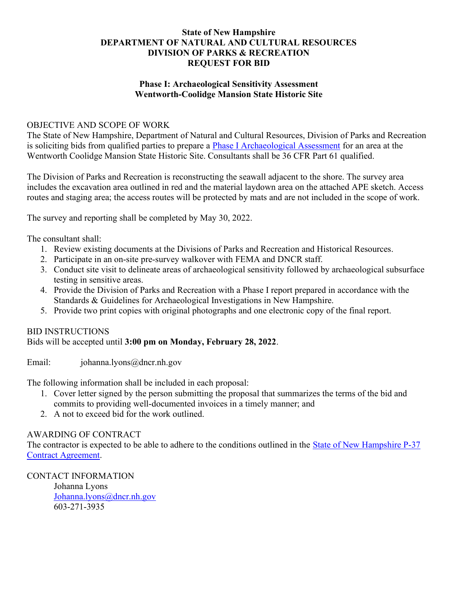### State of New Hampshire DEPARTMENT OF NATURAL AND CULTURAL RESOURCES DIVISION OF PARKS & RECREATION REQUEST FOR BID

### Phase I: Archaeological Sensitivity Assessment Wentworth-Coolidge Mansion State Historic Site

#### OBJECTIVE AND SCOPE OF WORK

The State of New Hampshire, Department of Natural and Cultural Resources, Division of Parks and Recreation is soliciting bids from qualified parties to prepare a Phase I Archaeological Assessment for an area at the Wentworth Coolidge Mansion State Historic Site. Consultants shall be 36 CFR Part 61 qualified.

The Division of Parks and Recreation is reconstructing the seawall adjacent to the shore. The survey area includes the excavation area outlined in red and the material laydown area on the attached APE sketch. Access routes and staging area; the access routes will be protected by mats and are not included in the scope of work.

The survey and reporting shall be completed by May 30, 2022.

The consultant shall:

- 1. Review existing documents at the Divisions of Parks and Recreation and Historical Resources.
- 2. Participate in an on-site pre-survey walkover with FEMA and DNCR staff.
- 3. Conduct site visit to delineate areas of archaeological sensitivity followed by archaeological subsurface testing in sensitive areas.
- 4. Provide the Division of Parks and Recreation with a Phase I report prepared in accordance with the Standards & Guidelines for Archaeological Investigations in New Hampshire.
- 5. Provide two print copies with original photographs and one electronic copy of the final report.

## BID INSTRUCTIONS

Bids will be accepted until 3:00 pm on Monday, February 28, 2022.

Email: johanna.lyons@dncr.nh.gov

The following information shall be included in each proposal:

- 1. Cover letter signed by the person submitting the proposal that summarizes the terms of the bid and commits to providing well-documented invoices in a timely manner; and
- 2. A not to exceed bid for the work outlined.

## AWARDING OF CONTRACT

The contractor is expected to be able to adhere to the conditions outlined in the State of New Hampshire P-37 Contract Agreement.

CONTACT INFORMATION

Johanna Lyons Johanna.lyons@dncr.nh.gov 603-271-3935